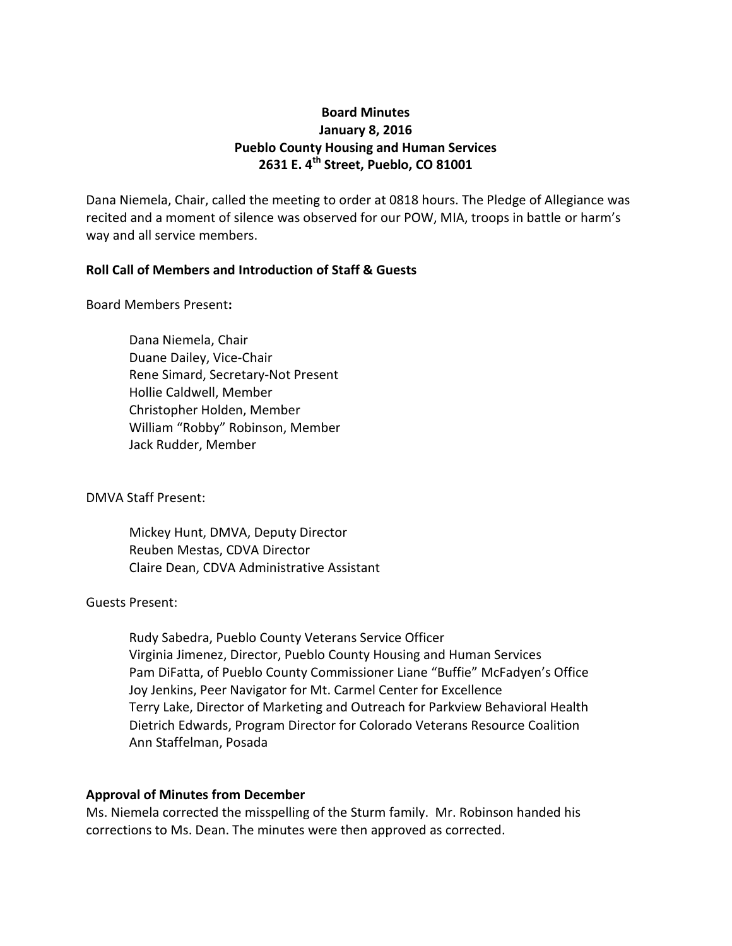# **Board Minutes January 8, 2016 Pueblo County Housing and Human Services 2631 E. 4th Street, Pueblo, CO 81001**

Dana Niemela, Chair, called the meeting to order at 0818 hours. The Pledge of Allegiance was recited and a moment of silence was observed for our POW, MIA, troops in battle or harm's way and all service members.

## **Roll Call of Members and Introduction of Staff & Guests**

Board Members Present**:**

Dana Niemela, Chair Duane Dailey, Vice-Chair Rene Simard, Secretary-Not Present Hollie Caldwell, Member Christopher Holden, Member William "Robby" Robinson, Member Jack Rudder, Member

DMVA Staff Present:

Mickey Hunt, DMVA, Deputy Director Reuben Mestas, CDVA Director Claire Dean, CDVA Administrative Assistant

### Guests Present:

Rudy Sabedra, Pueblo County Veterans Service Officer Virginia Jimenez, Director, Pueblo County Housing and Human Services Pam DiFatta, of Pueblo County Commissioner Liane "Buffie" McFadyen's Office Joy Jenkins, Peer Navigator for Mt. Carmel Center for Excellence Terry Lake, Director of Marketing and Outreach for Parkview Behavioral Health Dietrich Edwards, Program Director for Colorado Veterans Resource Coalition Ann Staffelman, Posada

### **Approval of Minutes from December**

Ms. Niemela corrected the misspelling of the Sturm family. Mr. Robinson handed his corrections to Ms. Dean. The minutes were then approved as corrected.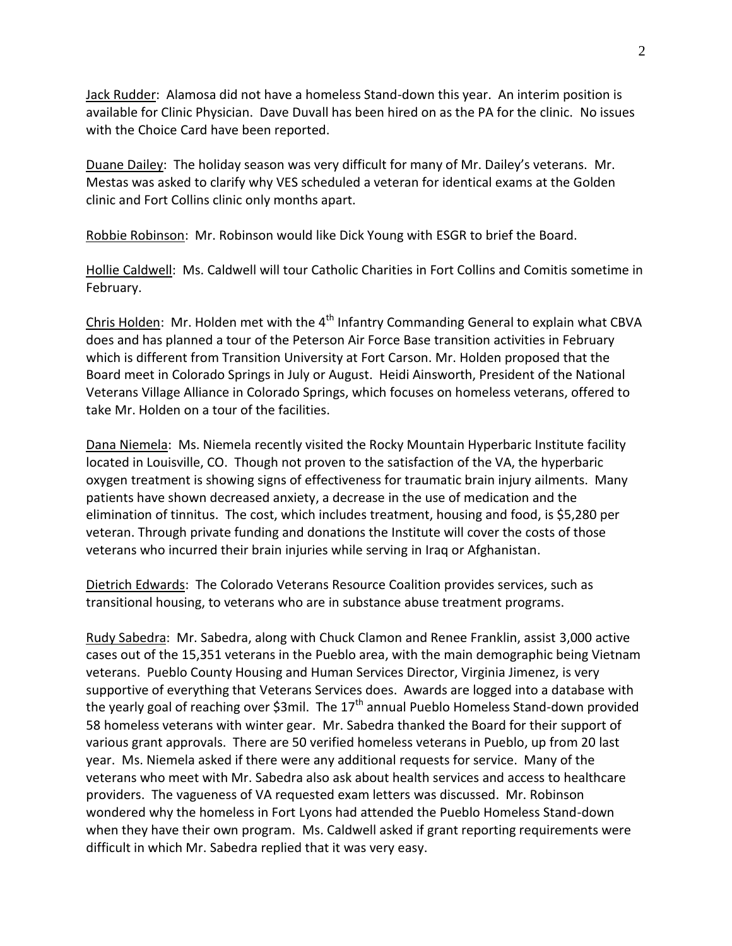Jack Rudder: Alamosa did not have a homeless Stand-down this year. An interim position is available for Clinic Physician. Dave Duvall has been hired on as the PA for the clinic. No issues with the Choice Card have been reported.

Duane Dailey: The holiday season was very difficult for many of Mr. Dailey's veterans. Mr. Mestas was asked to clarify why VES scheduled a veteran for identical exams at the Golden clinic and Fort Collins clinic only months apart.

Robbie Robinson: Mr. Robinson would like Dick Young with ESGR to brief the Board.

Hollie Caldwell: Ms. Caldwell will tour Catholic Charities in Fort Collins and Comitis sometime in February.

Chris Holden: Mr. Holden met with the 4<sup>th</sup> Infantry Commanding General to explain what CBVA does and has planned a tour of the Peterson Air Force Base transition activities in February which is different from Transition University at Fort Carson. Mr. Holden proposed that the Board meet in Colorado Springs in July or August. Heidi Ainsworth, President of the National Veterans Village Alliance in Colorado Springs, which focuses on homeless veterans, offered to take Mr. Holden on a tour of the facilities.

Dana Niemela: Ms. Niemela recently visited the Rocky Mountain Hyperbaric Institute facility located in Louisville, CO. Though not proven to the satisfaction of the VA, the hyperbaric oxygen treatment is showing signs of effectiveness for traumatic brain injury ailments. Many patients have shown decreased anxiety, a decrease in the use of medication and the elimination of tinnitus. The cost, which includes treatment, housing and food, is \$5,280 per veteran. Through private funding and donations the Institute will cover the costs of those veterans who incurred their brain injuries while serving in Iraq or Afghanistan.

Dietrich Edwards: The Colorado Veterans Resource Coalition provides services, such as transitional housing, to veterans who are in substance abuse treatment programs.

Rudy Sabedra: Mr. Sabedra, along with Chuck Clamon and Renee Franklin, assist 3,000 active cases out of the 15,351 veterans in the Pueblo area, with the main demographic being Vietnam veterans. Pueblo County Housing and Human Services Director, Virginia Jimenez, is very supportive of everything that Veterans Services does. Awards are logged into a database with the yearly goal of reaching over \$3mil. The  $17<sup>th</sup>$  annual Pueblo Homeless Stand-down provided 58 homeless veterans with winter gear. Mr. Sabedra thanked the Board for their support of various grant approvals. There are 50 verified homeless veterans in Pueblo, up from 20 last year. Ms. Niemela asked if there were any additional requests for service. Many of the veterans who meet with Mr. Sabedra also ask about health services and access to healthcare providers. The vagueness of VA requested exam letters was discussed. Mr. Robinson wondered why the homeless in Fort Lyons had attended the Pueblo Homeless Stand-down when they have their own program. Ms. Caldwell asked if grant reporting requirements were difficult in which Mr. Sabedra replied that it was very easy.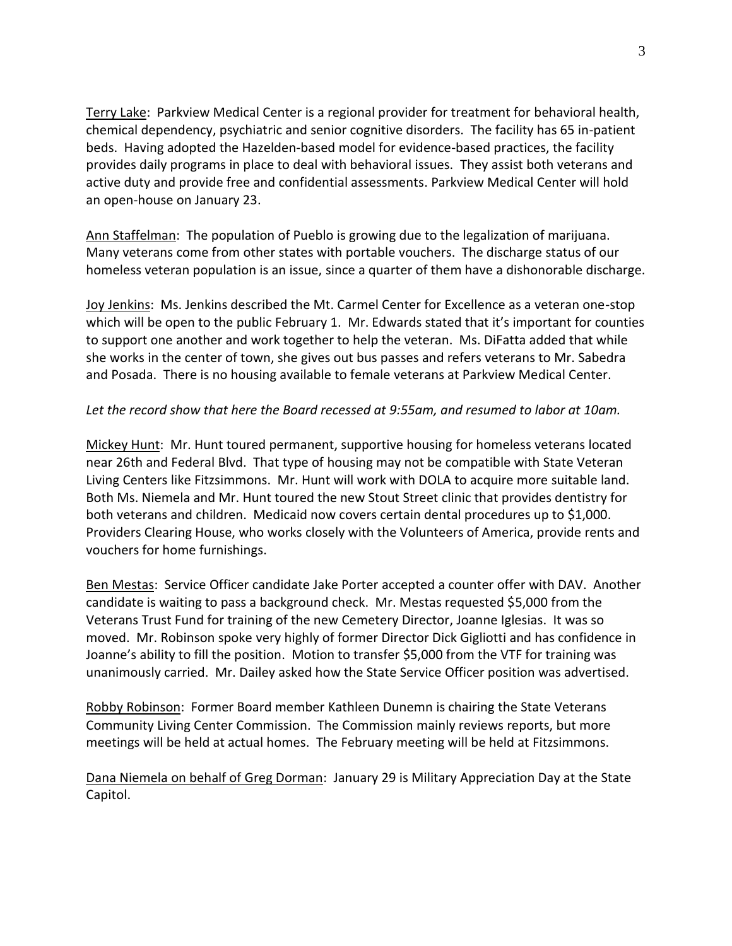Terry Lake: Parkview Medical Center is a regional provider for treatment for behavioral health, chemical dependency, psychiatric and senior cognitive disorders. The facility has 65 in-patient beds. Having adopted the Hazelden-based model for evidence-based practices, the facility provides daily programs in place to deal with behavioral issues. They assist both veterans and active duty and provide free and confidential assessments. Parkview Medical Center will hold an open-house on January 23.

Ann Staffelman: The population of Pueblo is growing due to the legalization of marijuana. Many veterans come from other states with portable vouchers. The discharge status of our homeless veteran population is an issue, since a quarter of them have a dishonorable discharge.

Joy Jenkins: Ms. Jenkins described the Mt. Carmel Center for Excellence as a veteran one-stop which will be open to the public February 1. Mr. Edwards stated that it's important for counties to support one another and work together to help the veteran. Ms. DiFatta added that while she works in the center of town, she gives out bus passes and refers veterans to Mr. Sabedra and Posada. There is no housing available to female veterans at Parkview Medical Center.

## *Let the record show that here the Board recessed at 9:55am, and resumed to labor at 10am.*

Mickey Hunt: Mr. Hunt toured permanent, supportive housing for homeless veterans located near 26th and Federal Blvd. That type of housing may not be compatible with State Veteran Living Centers like Fitzsimmons. Mr. Hunt will work with DOLA to acquire more suitable land. Both Ms. Niemela and Mr. Hunt toured the new Stout Street clinic that provides dentistry for both veterans and children. Medicaid now covers certain dental procedures up to \$1,000. Providers Clearing House, who works closely with the Volunteers of America, provide rents and vouchers for home furnishings.

Ben Mestas: Service Officer candidate Jake Porter accepted a counter offer with DAV. Another candidate is waiting to pass a background check. Mr. Mestas requested \$5,000 from the Veterans Trust Fund for training of the new Cemetery Director, Joanne Iglesias. It was so moved. Mr. Robinson spoke very highly of former Director Dick Gigliotti and has confidence in Joanne's ability to fill the position. Motion to transfer \$5,000 from the VTF for training was unanimously carried. Mr. Dailey asked how the State Service Officer position was advertised.

Robby Robinson: Former Board member Kathleen Dunemn is chairing the State Veterans Community Living Center Commission. The Commission mainly reviews reports, but more meetings will be held at actual homes. The February meeting will be held at Fitzsimmons.

Dana Niemela on behalf of Greg Dorman: January 29 is Military Appreciation Day at the State Capitol.